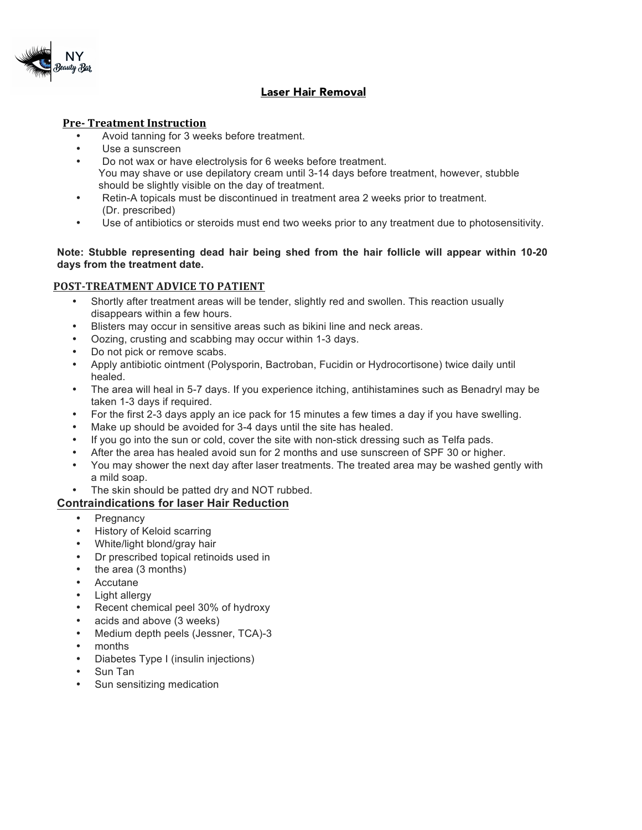

## Laser Hair Removal

### **Pre-** Treatment Instruction

- Avoid tanning for 3 weeks before treatment.
- Use a sunscreen
- Do not wax or have electrolysis for 6 weeks before treatment. You may shave or use depilatory cream until 3-14 days before treatment, however, stubble should be slightly visible on the day of treatment.
- Retin-A topicals must be discontinued in treatment area 2 weeks prior to treatment. (Dr. prescribed)
- Use of antibiotics or steroids must end two weeks prior to any treatment due to photosensitivity.

#### **Note: Stubble representing dead hair being shed from the hair follicle will appear within 10-20 days from the treatment date.**

### **POST-TREATMENT ADVICE TO PATIENT**

- Shortly after treatment areas will be tender, slightly red and swollen. This reaction usually disappears within a few hours.
- Blisters may occur in sensitive areas such as bikini line and neck areas.
- Oozing, crusting and scabbing may occur within 1-3 days.
- Do not pick or remove scabs.
- Apply antibiotic ointment (Polysporin, Bactroban, Fucidin or Hydrocortisone) twice daily until healed.
- The area will heal in 5-7 days. If you experience itching, antihistamines such as Benadryl may be taken 1-3 days if required.
- For the first 2-3 days apply an ice pack for 15 minutes a few times a day if you have swelling.
- Make up should be avoided for 3-4 days until the site has healed.
- If you go into the sun or cold, cover the site with non-stick dressing such as Telfa pads.
- After the area has healed avoid sun for 2 months and use sunscreen of SPF 30 or higher.
- You may shower the next day after laser treatments. The treated area may be washed gently with a mild soap.
- The skin should be patted dry and NOT rubbed.

### **Contraindications for laser Hair Reduction**

- **Pregnancy**
- History of Keloid scarring
- White/light blond/gray hair
- Dr prescribed topical retinoids used in
- the area (3 months)
- Accutane
- Light allergy
- Recent chemical peel 30% of hydroxy
- acids and above (3 weeks)
- Medium depth peels (Jessner, TCA)-3
- months
- Diabetes Type I (insulin injections)
- Sun Tan
- Sun sensitizing medication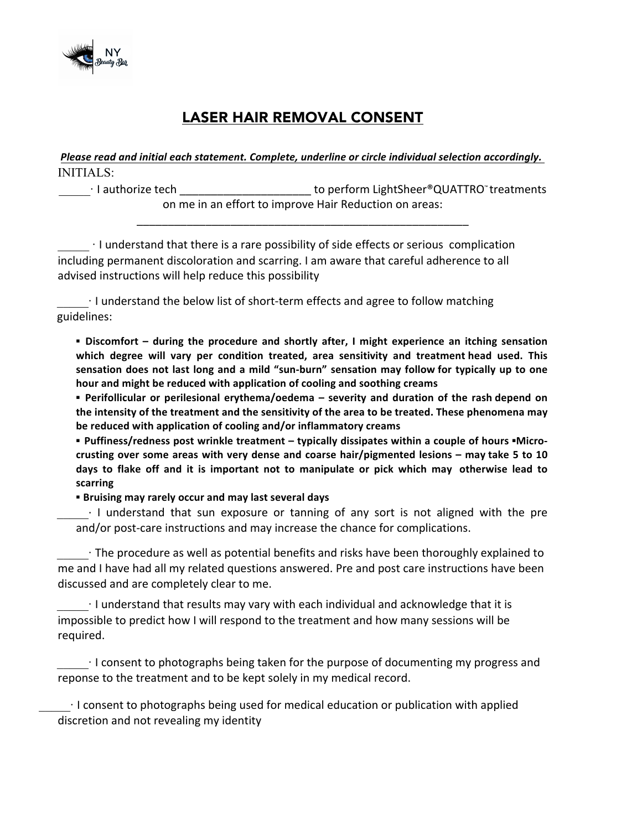

# LASER HAIR REMOVAL CONSENT

*Please read and initial each statement. Complete, underline or circle individual selection accordingly.* INITIALS:

 $\qquad \qquad$  I authorize tech  $\qquad \qquad \qquad 1$  authorize tech  $\qquad \qquad \qquad 2$  ... The summand to perform LightSheer®QUATTRO™ treatments on me in an effort to improve Hair Reduction on areas:

\_\_\_\_\_\_\_\_\_\_\_\_\_\_\_\_\_\_\_\_\_\_\_\_\_\_\_\_\_\_\_\_\_\_\_\_\_\_\_\_\_\_\_\_\_\_\_\_\_\_\_\_\_

I understand that there is a rare possibility of side effects or serious complication including permanent discoloration and scarring. I am aware that careful adherence to all advised instructions will help reduce this possibility

 $\cdot$  I understand the below list of short-term effects and agree to follow matching guidelines:

**•** Discomfort – during the procedure and shortly after, I might experience an itching sensation which degree will vary per condition treated, area sensitivity and treatment head used. This sensation does not last long and a mild "sun-burn" sensation may follow for typically up to one hour and might be reduced with application of cooling and soothing creams

**•** Perifollicular or perilesional erythema/oedema – severity and duration of the rash depend on the intensity of the treatment and the sensitivity of the area to be treated. These phenomena may be reduced with application of cooling and/or inflammatory creams

**•** Puffiness/redness post wrinkle treatment – typically dissipates within a couple of hours **•**Microcrusting over some areas with very dense and coarse hair/pigmented lesions – may take 5 to 10 days to flake off and it is important not to manipulate or pick which may otherwise lead to **scarring**

**EXECUTE:** Bruising may rarely occur and may last several days

 $\cdot$  I understand that sun exposure or tanning of any sort is not aligned with the pre and/or post-care instructions and may increase the chance for complications.

 $\cdot$  The procedure as well as potential benefits and risks have been thoroughly explained to me and I have had all my related questions answered. Pre and post care instructions have been discussed and are completely clear to me.

 $\cdot$  I understand that results may vary with each individual and acknowledge that it is impossible to predict how I will respond to the treatment and how many sessions will be required.

 $\cdot$  I consent to photographs being taken for the purpose of documenting my progress and reponse to the treatment and to be kept solely in my medical record.

 $\cdot$  I consent to photographs being used for medical education or publication with applied discretion and not revealing my identity